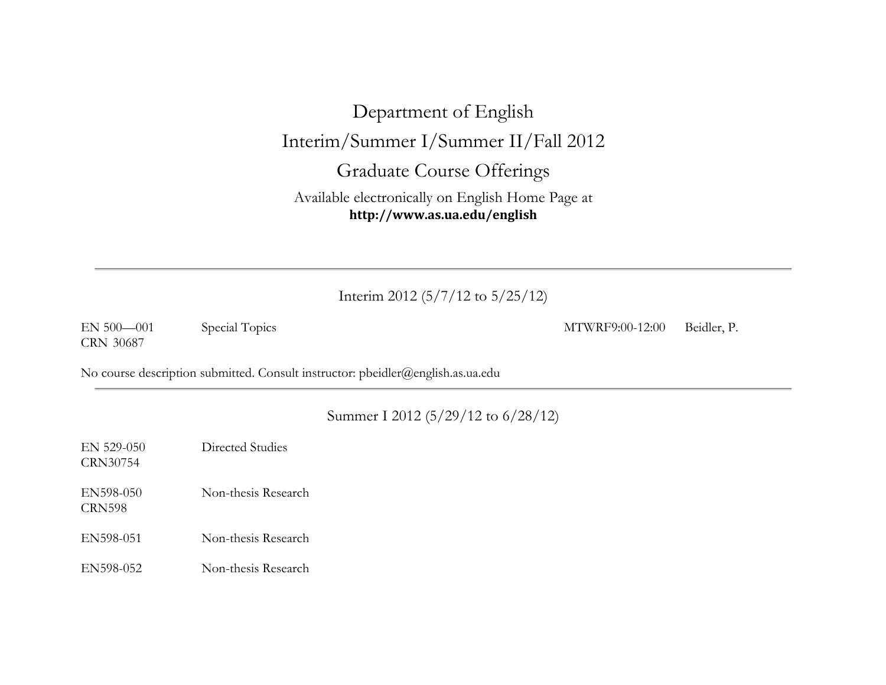# Department of English Interim/Summer I/Summer II/Fall 2012 Graduate Course Offerings

Available electronically on English Home Page at **http://www.as.ua.edu/english**

### Interim 2012 (5/7/12 to 5/25/12)

CRN 30687

EN 500—001 Special Topics MTWRF9:00-12:00 Beidler, P.

No course description submitted. Consult instructor: pbeidler@english.as.ua.edu

#### Summer I 2012 (5/29/12 to 6/28/12)

EN 529-050 Directed Studies CRN30754

CRN598

EN598-050 Non-thesis Research

- EN598-051 Non-thesis Research
- EN598-052 Non-thesis Research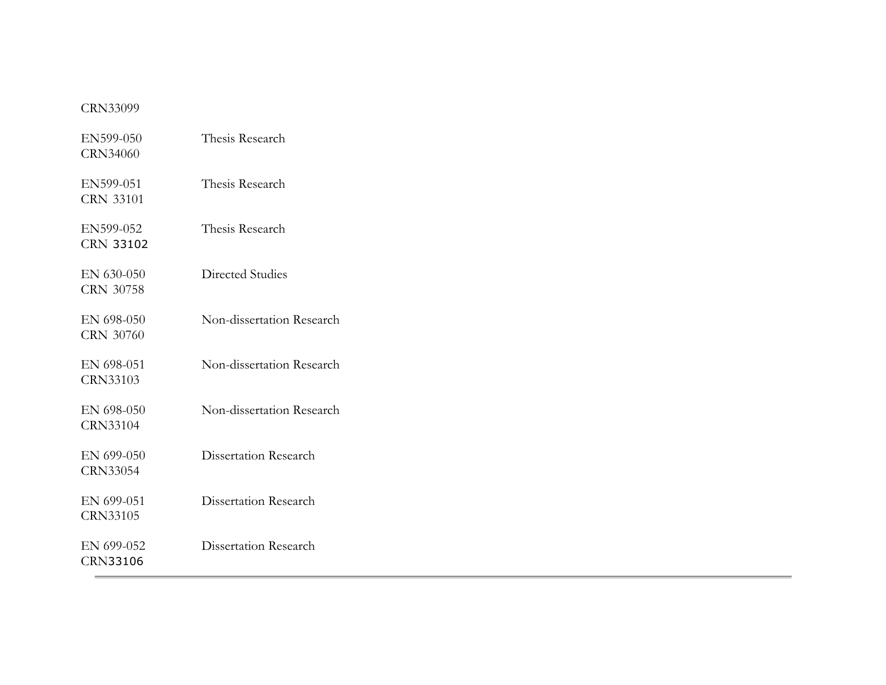#### CRN33099

| EN599-050<br><b>CRN34060</b>  | Thesis Research           |
|-------------------------------|---------------------------|
| EN599-051<br><b>CRN 33101</b> | Thesis Research           |
| EN599-052<br><b>CRN 33102</b> | Thesis Research           |
| EN 630-050<br>CRN 30758       | Directed Studies          |
| EN 698-050<br>CRN 30760       | Non-dissertation Research |
| EN 698-051<br>CRN33103        | Non-dissertation Research |
| EN 698-050<br><b>CRN33104</b> | Non-dissertation Research |
| EN 699-050<br>CRN33054        | Dissertation Research     |
| EN 699-051<br>CRN33105        | Dissertation Research     |
| EN 699-052<br><b>CRN33106</b> | Dissertation Research     |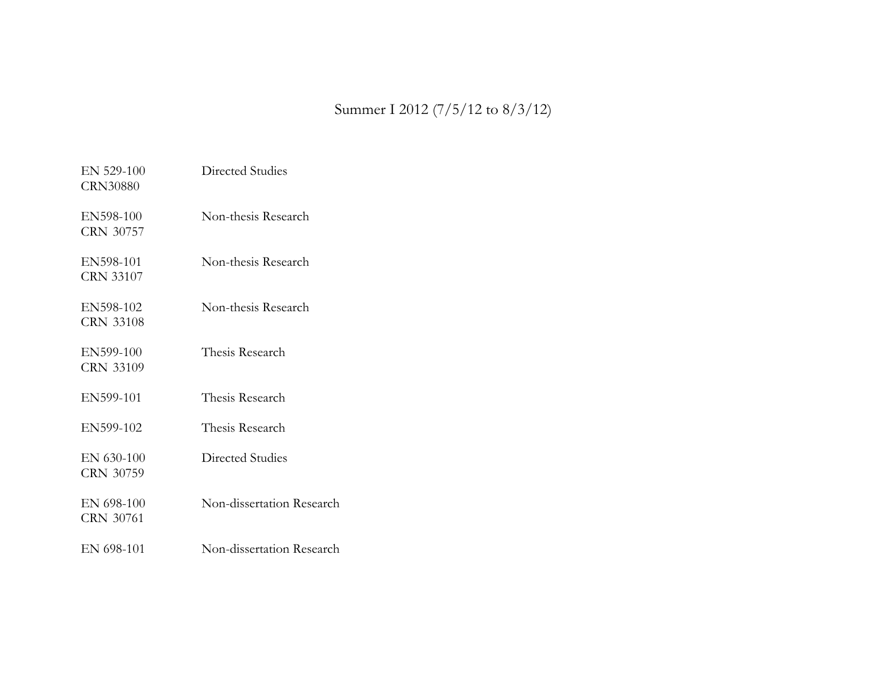## Summer I 2012 (7/5/12 to 8/3/12)

| $EN$ 529-100<br><b>CRN30880</b> | Directed Studies          |
|---------------------------------|---------------------------|
| EN598-100<br>CRN 30757          | Non-thesis Research       |
| EN598-101<br><b>CRN 33107</b>   | Non-thesis Research       |
| EN598-102<br>CRN 33108          | Non-thesis Research       |
| EN599-100<br><b>CRN 33109</b>   | Thesis Research           |
| EN599-101                       | Thesis Research           |
| EN599-102                       | Thesis Research           |
| EN 630-100<br><b>CRN 30759</b>  | Directed Studies          |
| EN 698-100<br>CRN 30761         | Non-dissertation Research |
| EN 698-101                      | Non-dissertation Research |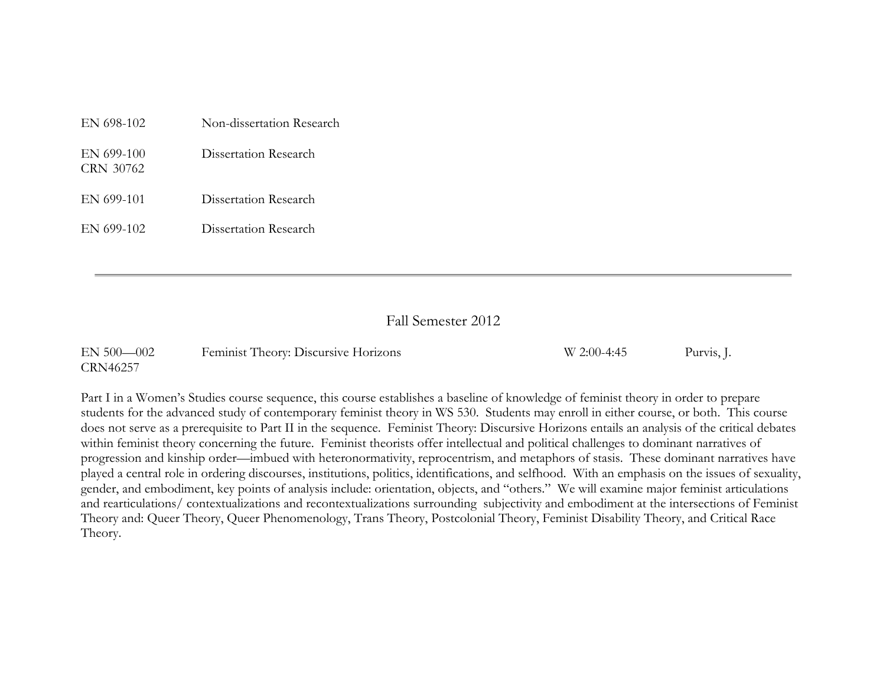| EN 698-102              | Non-dissertation Research |
|-------------------------|---------------------------|
| EN 699-100<br>CRN 30762 | Dissertation Research     |
| EN 699-101              | Dissertation Research     |
| EN 699-102              | Dissertation Research     |

#### Fall Semester 2012

| $EN 500 - 002$  | Feminist Theory: Discursive Horizons | W 2:00-4:45 | Purvis, J. |
|-----------------|--------------------------------------|-------------|------------|
| <b>CRN46257</b> |                                      |             |            |

Part I in a Women's Studies course sequence, this course establishes a baseline of knowledge of feminist theory in order to prepare students for the advanced study of contemporary feminist theory in WS 530. Students may enroll in either course, or both. This course does not serve as a prerequisite to Part II in the sequence. Feminist Theory: Discursive Horizons entails an analysis of the critical debates within feminist theory concerning the future. Feminist theorists offer intellectual and political challenges to dominant narratives of progression and kinship order—imbued with heteronormativity, reprocentrism, and metaphors of stasis. These dominant narratives have played a central role in ordering discourses, institutions, politics, identifications, and selfhood. With an emphasis on the issues of sexuality, gender, and embodiment, key points of analysis include: orientation, objects, and "others." We will examine major feminist articulations and rearticulations/ contextualizations and recontextualizations surrounding subjectivity and embodiment at the intersections of Feminist Theory and: Queer Theory, Queer Phenomenology, Trans Theory, Postcolonial Theory, Feminist Disability Theory, and Critical Race Theory.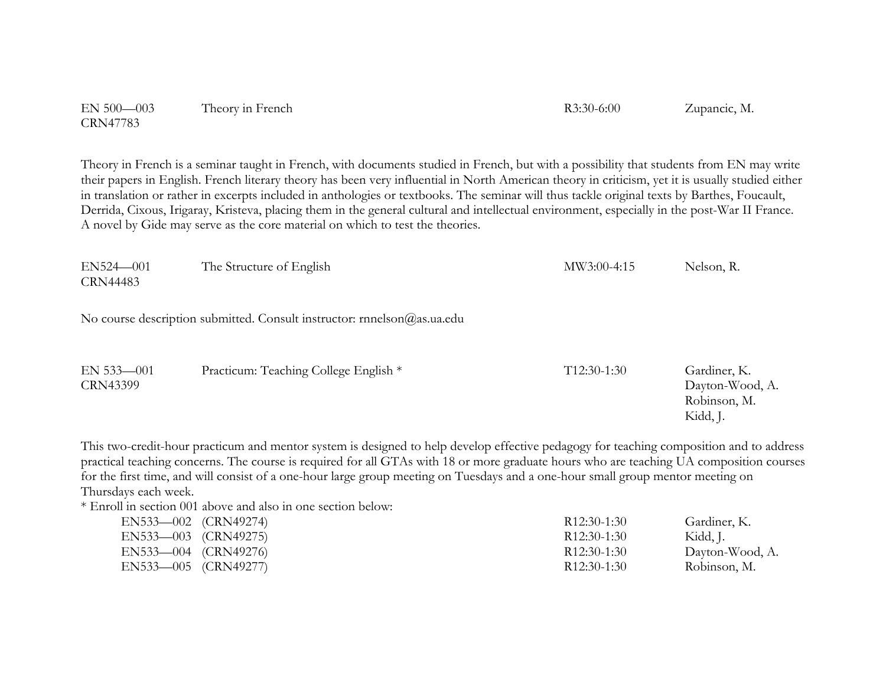| $EN 500 - 003$  | Theory in French | $R3:30-6:00$ | Zupancic, M. |
|-----------------|------------------|--------------|--------------|
| <b>CRN47783</b> |                  |              |              |

Theory in French is a seminar taught in French, with documents studied in French, but with a possibility that students from EN may write their papers in English. French literary theory has been very influential in North American theory in criticism, yet it is usually studied either in translation or rather in excerpts included in anthologies or textbooks. The seminar will thus tackle original texts by Barthes, Foucault, Derrida, Cixous, Irigaray, Kristeva, placing them in the general cultural and intellectual environment, especially in the post-War II France. A novel by Gide may serve as the core material on which to test the theories.

| $EN524 - 001$ | The Structure of English | MW3:00-4:15 | Nelson, R. |
|---------------|--------------------------|-------------|------------|
| CRN44483      |                          |             |            |

No course description submitted. Consult instructor: rnnelson@as.ua.edu

| $EN 533 - 001$ | Practicum: Teaching College English * | $T12:30-1:30$ | Gardiner, K.    |
|----------------|---------------------------------------|---------------|-----------------|
| CRN43399       |                                       |               | Dayton-Wood, A. |
|                |                                       |               | Robinson, M.    |
|                |                                       |               | Kidd, J.        |

This two-credit-hour practicum and mentor system is designed to help develop effective pedagogy for teaching composition and to address practical teaching concerns. The course is required for all GTAs with 18 or more graduate hours who are teaching UA composition courses for the first time, and will consist of a one-hour large group meeting on Tuesdays and a one-hour small group mentor meeting on Thursdays each week.

\* Enroll in section 001 above and also in one section below:

| EN533—002 (CRN49274) | R <sub>12</sub> :30-1:30 | Gardiner, K.    |
|----------------------|--------------------------|-----------------|
| EN533—003 (CRN49275) | R <sub>12</sub> :30-1:30 | Kidd, J.        |
| EN533—004 (CRN49276) | R <sub>12</sub> :30-1:30 | Dayton-Wood, A. |
| EN533—005 (CRN49277) | R <sub>12</sub> :30-1:30 | Robinson, M.    |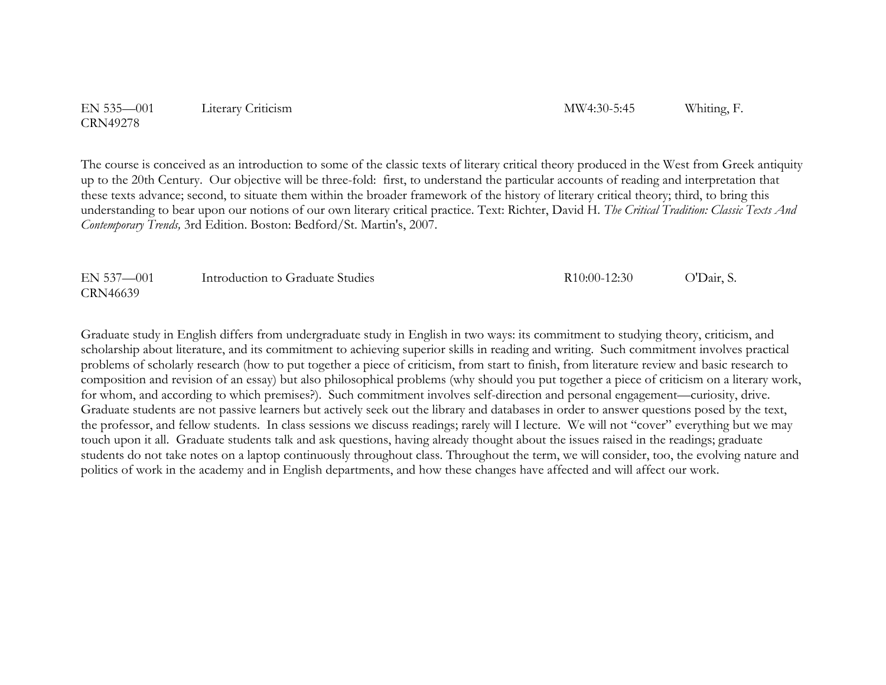EN 535—001 Literary Criticism MW4:30-5:45 Whiting, F. CRN49278

The course is conceived as an introduction to some of the classic texts of literary critical theory produced in the West from Greek antiquity up to the 20th Century. Our objective will be three-fold: first, to understand the particular accounts of reading and interpretation that these texts advance; second, to situate them within the broader framework of the history of literary critical theory; third, to bring this understanding to bear upon our notions of our own literary critical practice. Text: Richter, David H. *The Critical Tradition: Classic Texts And Contemporary Trends,* 3rd Edition. Boston: Bedford/St. Martin's, 2007.

| EN 537-001 | Introduction to Graduate Studies | R <sub>10</sub> :00-12:30 | O'Dair, S. |
|------------|----------------------------------|---------------------------|------------|
| CRN46639   |                                  |                           |            |

Graduate study in English differs from undergraduate study in English in two ways: its commitment to studying theory, criticism, and scholarship about literature, and its commitment to achieving superior skills in reading and writing. Such commitment involves practical problems of scholarly research (how to put together a piece of criticism, from start to finish, from literature review and basic research to composition and revision of an essay) but also philosophical problems (why should you put together a piece of criticism on a literary work, for whom, and according to which premises?). Such commitment involves self-direction and personal engagement—curiosity, drive. Graduate students are not passive learners but actively seek out the library and databases in order to answer questions posed by the text, the professor, and fellow students. In class sessions we discuss readings; rarely will I lecture. We will not "cover" everything but we may touch upon it all. Graduate students talk and ask questions, having already thought about the issues raised in the readings; graduate students do not take notes on a laptop continuously throughout class. Throughout the term, we will consider, too, the evolving nature and politics of work in the academy and in English departments, and how these changes have affected and will affect our work.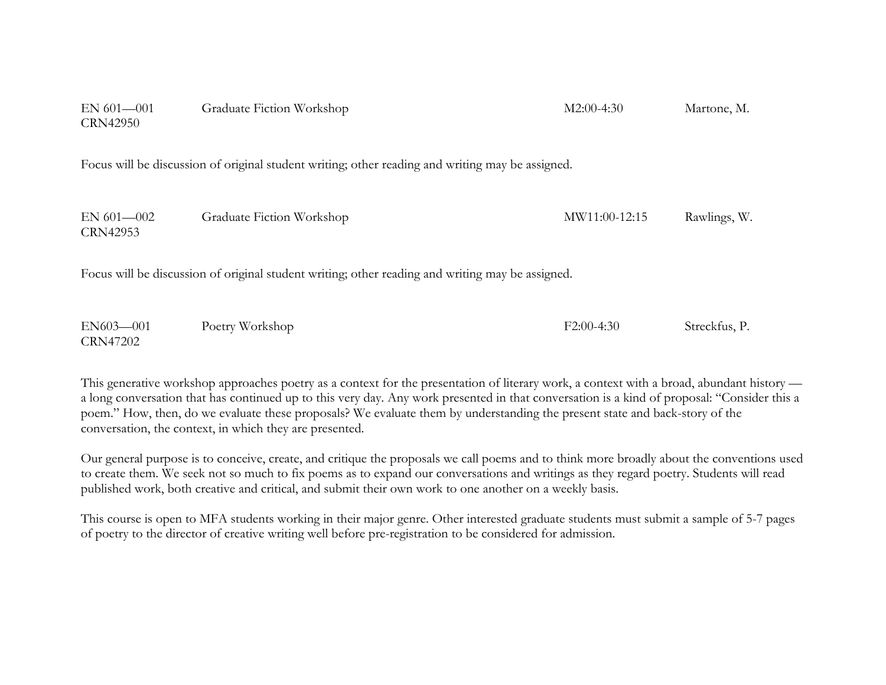| EN 601-001<br><b>CRN42950</b> | Graduate Fiction Workshop                                                                        | $M2:00-4:30$  | Martone, M.   |
|-------------------------------|--------------------------------------------------------------------------------------------------|---------------|---------------|
|                               | Focus will be discussion of original student writing; other reading and writing may be assigned. |               |               |
| EN $601 - 002$<br>CRN42953    | Graduate Fiction Workshop                                                                        | MW11:00-12:15 | Rawlings, W.  |
|                               | Focus will be discussion of original student writing; other reading and writing may be assigned. |               |               |
| EN603-001<br><b>CRN47202</b>  | Poetry Workshop                                                                                  | $F2:00-4:30$  | Streckfus, P. |

This generative workshop approaches poetry as a context for the presentation of literary work, a context with a broad, abundant history a long conversation that has continued up to this very day. Any work presented in that conversation is a kind of proposal: "Consider this a poem." How, then, do we evaluate these proposals? We evaluate them by understanding the present state and back-story of the conversation, the context, in which they are presented.

Our general purpose is to conceive, create, and critique the proposals we call poems and to think more broadly about the conventions used to create them. We seek not so much to fix poems as to expand our conversations and writings as they regard poetry. Students will read published work, both creative and critical, and submit their own work to one another on a weekly basis.

This course is open to MFA students working in their major genre. Other interested graduate students must submit a sample of 5-7 pages of poetry to the director of creative writing well before pre-registration to be considered for admission.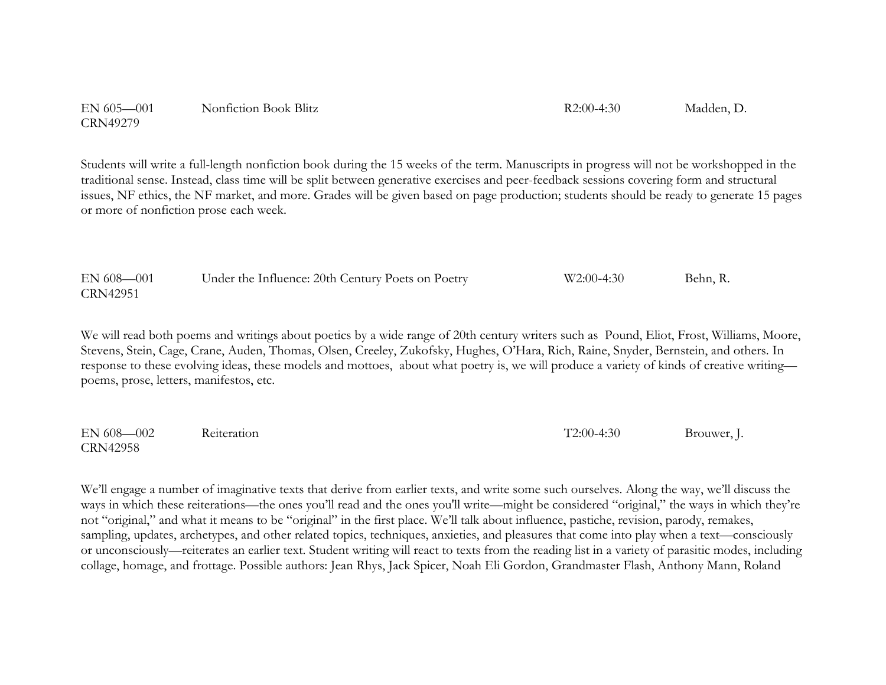EN 605—001 Nonfiction Book Blitz R2:00-4:30 Madden, D. CRN49279

Students will write a full-length nonfiction book during the 15 weeks of the term. Manuscripts in progress will not be workshopped in the traditional sense. Instead, class time will be split between generative exercises and peer-feedback sessions covering form and structural issues, NF ethics, the NF market, and more. Grades will be given based on page production; students should be ready to generate 15 pages or more of nonfiction prose each week.

| EN 608-001      | Under the Influence: 20th Century Poets on Poetry | $W2:00-4:30$ | Behn, R. |
|-----------------|---------------------------------------------------|--------------|----------|
| <b>CRN42951</b> |                                                   |              |          |

We will read both poems and writings about poetics by a wide range of 20th century writers such as Pound, Eliot, Frost, Williams, Moore, Stevens, Stein, Cage, Crane, Auden, Thomas, Olsen, Creeley, Zukofsky, Hughes, O'Hara, Rich, Raine, Snyder, Bernstein, and others. In response to these evolving ideas, these models and mottoes, about what poetry is, we will produce a variety of kinds of creative writing poems, prose, letters, manifestos, etc.

EN 608—002 Reiteration T2:00-4:30 Brouwer, J. CRN42958

We'll engage a number of imaginative texts that derive from earlier texts, and write some such ourselves. Along the way, we'll discuss the ways in which these reiterations—the ones you'll read and the ones you'll write—might be considered "original," the ways in which they're not "original," and what it means to be "original" in the first place. We'll talk about influence, pastiche, revision, parody, remakes, sampling, updates, archetypes, and other related topics, techniques, anxieties, and pleasures that come into play when a text—consciously or unconsciously—reiterates an earlier text. Student writing will react to texts from the reading list in a variety of parasitic modes, including collage, homage, and frottage. Possible authors: Jean Rhys, Jack Spicer, Noah Eli Gordon, Grandmaster Flash, Anthony Mann, Roland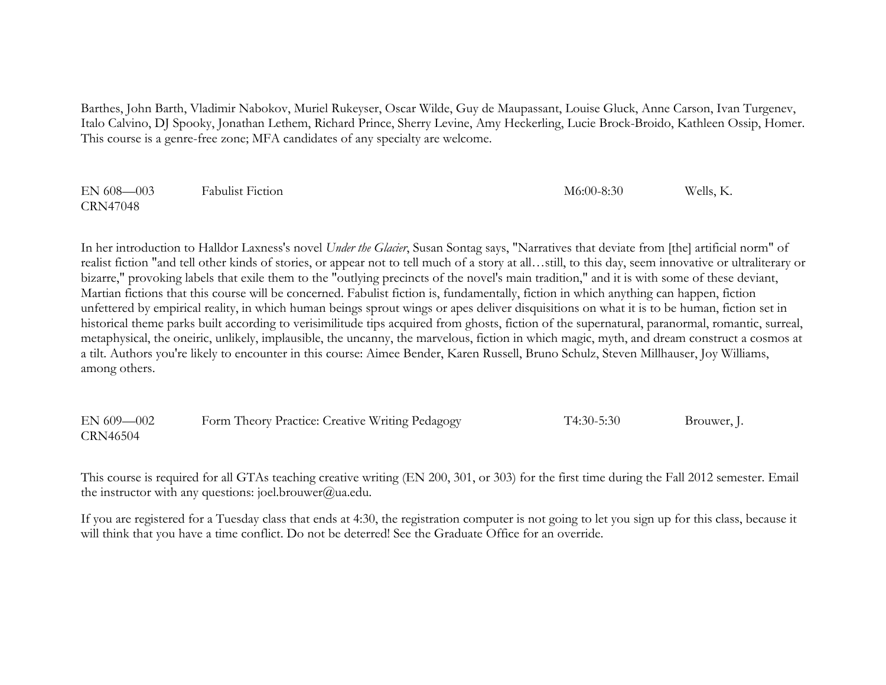Barthes, John Barth, Vladimir Nabokov, Muriel Rukeyser, Oscar Wilde, Guy de Maupassant, Louise Gluck, Anne Carson, Ivan Turgenev, Italo Calvino, DJ Spooky, Jonathan Lethem, Richard Prince, Sherry Levine, Amy Heckerling, Lucie Brock-Broido, Kathleen Ossip, Homer. This course is a genre-free zone; MFA candidates of any specialty are welcome.

| $EN 608 - 003$  | <b>Fabulist Fiction</b> | $M6:00-8:30$ | Wells, K. |
|-----------------|-------------------------|--------------|-----------|
| <b>CRN47048</b> |                         |              |           |

In her introduction to Halldor Laxness's novel *Under the Glacier*, Susan Sontag says, "Narratives that deviate from [the] artificial norm" of realist fiction "and tell other kinds of stories, or appear not to tell much of a story at all…still, to this day, seem innovative or ultraliterary or bizarre," provoking labels that exile them to the "outlying precincts of the novel's main tradition," and it is with some of these deviant, Martian fictions that this course will be concerned. Fabulist fiction is, fundamentally, fiction in which anything can happen, fiction unfettered by empirical reality, in which human beings sprout wings or apes deliver disquisitions on what it is to be human, fiction set in historical theme parks built according to verisimilitude tips acquired from ghosts, fiction of the supernatural, paranormal, romantic, surreal, metaphysical, the oneiric, unlikely, implausible, the uncanny, the marvelous, fiction in which magic, myth, and dream construct a cosmos at a tilt. Authors you're likely to encounter in this course: Aimee Bender, Karen Russell, Bruno Schulz, Steven Millhauser, Joy Williams, among others.

EN 609—002 Form Theory Practice: Creative Writing Pedagogy T4:30-5:30 Brouwer, J. CRN46504

This course is required for all GTAs teaching creative writing (EN 200, 301, or 303) for the first time during the Fall 2012 semester. Email the instructor with any questions: joel.brouwer@ua.edu.

If you are registered for a Tuesday class that ends at 4:30, the registration computer is not going to let you sign up for this class, because it will think that you have a time conflict. Do not be deterred! See the Graduate Office for an override.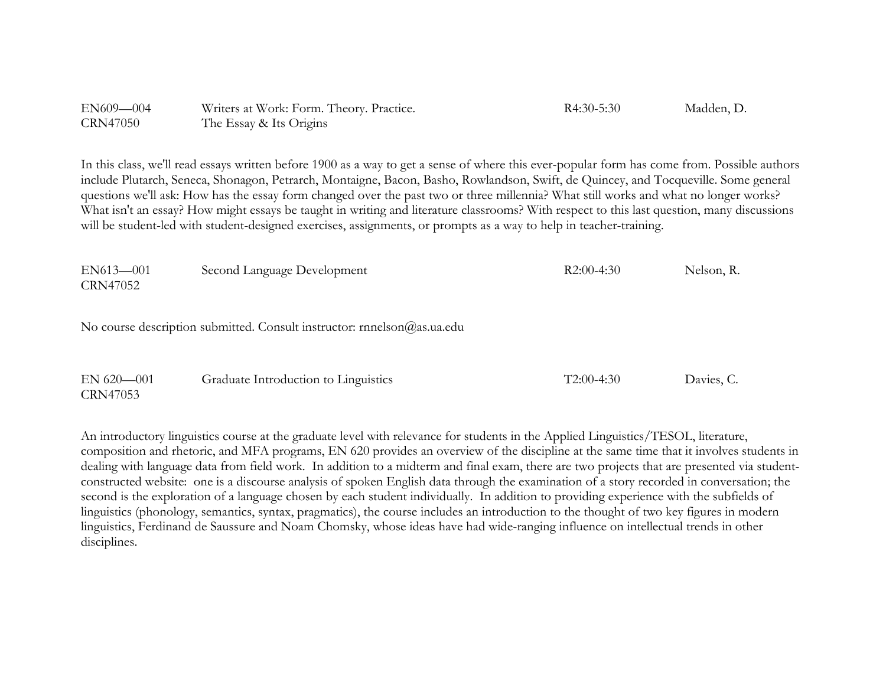| EN609-004       | Writers at Work: Form. Theory. Practice. | $R4:30-5:30$ | Madden, D. |
|-----------------|------------------------------------------|--------------|------------|
| <b>CRN47050</b> | The Essay & Its Origins                  |              |            |

In this class, we'll read essays written before 1900 as a way to get a sense of where this ever-popular form has come from. Possible authors include Plutarch, Seneca, Shonagon, Petrarch, Montaigne, Bacon, Basho, Rowlandson, Swift, de Quincey, and Tocqueville. Some general questions we'll ask: How has the essay form changed over the past two or three millennia? What still works and what no longer works? What isn't an essay? How might essays be taught in writing and literature classrooms? With respect to this last question, many discussions will be student-led with student-designed exercises, assignments, or prompts as a way to help in teacher-training.

| $EN613 - 001$ | Second Language Development                                             | $R2:00-4:30$ | Nelson, R. |
|---------------|-------------------------------------------------------------------------|--------------|------------|
| CRN47052      |                                                                         |              |            |
|               |                                                                         |              |            |
|               | No course description submitted. Consult instructor: rnnelson@as.ua.edu |              |            |

| $EN 620 - 001$ | Graduate Introduction to Linguistics | $T2:00-4:30$ | Davies, C. |
|----------------|--------------------------------------|--------------|------------|
| CRN47053       |                                      |              |            |

An introductory linguistics course at the graduate level with relevance for students in the Applied Linguistics/TESOL, literature, composition and rhetoric, and MFA programs, EN 620 provides an overview of the discipline at the same time that it involves students in dealing with language data from field work. In addition to a midterm and final exam, there are two projects that are presented via studentconstructed website: one is a discourse analysis of spoken English data through the examination of a story recorded in conversation; the second is the exploration of a language chosen by each student individually. In addition to providing experience with the subfields of linguistics (phonology, semantics, syntax, pragmatics), the course includes an introduction to the thought of two key figures in modern linguistics, Ferdinand de Saussure and Noam Chomsky, whose ideas have had wide-ranging influence on intellectual trends in other disciplines.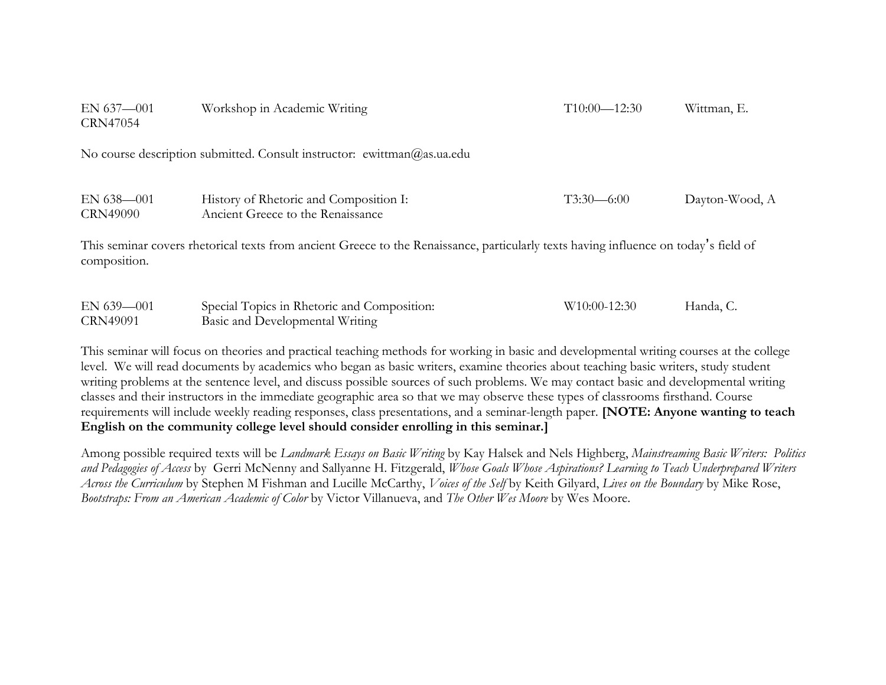| EN 637-001<br>CRN47054                                                                                                                               | Workshop in Academic Writing                                                   | $T10:00 - 12:30$         | Wittman, E.    |  |  |
|------------------------------------------------------------------------------------------------------------------------------------------------------|--------------------------------------------------------------------------------|--------------------------|----------------|--|--|
| No course description submitted. Consult instructor: ewittman@as.ua.edu                                                                              |                                                                                |                          |                |  |  |
| $EN 638 - 001$<br><b>CRN49090</b>                                                                                                                    | History of Rhetoric and Composition I:<br>Ancient Greece to the Renaissance    | $T3:30-6:00$             | Dayton-Wood, A |  |  |
| This seminar covers rhetorical texts from ancient Greece to the Renaissance, particularly texts having influence on today's field of<br>composition. |                                                                                |                          |                |  |  |
| $EN$ 639-001<br><b>CRN49091</b>                                                                                                                      | Special Topics in Rhetoric and Composition:<br>Basic and Developmental Writing | W <sub>10:00-12:30</sub> | Handa, C.      |  |  |

This seminar will focus on theories and practical teaching methods for working in basic and developmental writing courses at the college level. We will read documents by academics who began as basic writers, examine theories about teaching basic writers, study student writing problems at the sentence level, and discuss possible sources of such problems. We may contact basic and developmental writing classes and their instructors in the immediate geographic area so that we may observe these types of classrooms firsthand. Course requirements will include weekly reading responses, class presentations, and a seminar-length paper. **[NOTE: Anyone wanting to teach English on the community college level should consider enrolling in this seminar.]**

Among possible required texts will be *Landmark Essays on Basic Writing* by Kay Halsek and Nels Highberg, *Mainstreaming Basic Writers: Politics and Pedagogies of Access* by Gerri McNenny and Sallyanne H. Fitzgerald, *Whose Goals Whose Aspirations? Learning to Teach Underprepared Writers Across the Curriculum* by Stephen M Fishman and Lucille McCarthy, *Voices of the Self* by Keith Gilyard, *Lives on the Boundary* by Mike Rose, *Bootstraps: From an American Academic of Color* by Victor Villanueva, and *The Other Wes Moore* by Wes Moore.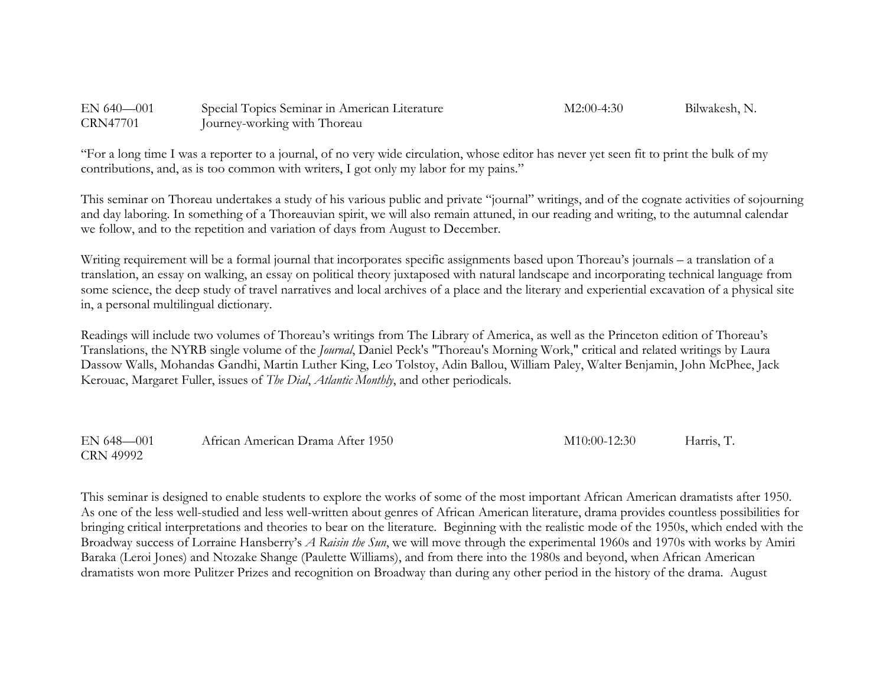| $EN$ 640-001    | Special Topics Seminar in American Literature | $M2:00-4:30$ | Bilwakesh, N. |
|-----------------|-----------------------------------------------|--------------|---------------|
| <b>CRN47701</b> | Journey-working with Thoreau                  |              |               |

"For a long time I was a reporter to a journal, of no very wide circulation, whose editor has never yet seen fit to print the bulk of my contributions, and, as is too common with writers, I got only my labor for my pains."

This seminar on Thoreau undertakes a study of his various public and private "journal" writings, and of the cognate activities of sojourning and day laboring. In something of a Thoreauvian spirit, we will also remain attuned, in our reading and writing, to the autumnal calendar we follow, and to the repetition and variation of days from August to December.

Writing requirement will be a formal journal that incorporates specific assignments based upon Thoreau's journals – a translation of a translation, an essay on walking, an essay on political theory juxtaposed with natural landscape and incorporating technical language from some science, the deep study of travel narratives and local archives of a place and the literary and experiential excavation of a physical site in, a personal multilingual dictionary.

Readings will include two volumes of Thoreau's writings from The Library of America, as well as the Princeton edition of Thoreau's Translations, the NYRB single volume of the *Journal*, Daniel Peck's "Thoreau's Morning Work," critical and related writings by Laura Dassow Walls, Mohandas Gandhi, Martin Luther King, Leo Tolstoy, Adin Ballou, William Paley, Walter Benjamin, John McPhee, Jack Kerouac, Margaret Fuller, issues of *The Dial*, *Atlantic Monthly*, and other periodicals.

EN 648—001 African American Drama After 1950 M10:00-12:30 Harris, T. CRN 49992

This seminar is designed to enable students to explore the works of some of the most important African American dramatists after 1950. As one of the less well-studied and less well-written about genres of African American literature, drama provides countless possibilities for bringing critical interpretations and theories to bear on the literature. Beginning with the realistic mode of the 1950s, which ended with the Broadway success of Lorraine Hansberry's *A Raisin the Sun*, we will move through the experimental 1960s and 1970s with works by Amiri Baraka (Leroi Jones) and Ntozake Shange (Paulette Williams), and from there into the 1980s and beyond, when African American dramatists won more Pulitzer Prizes and recognition on Broadway than during any other period in the history of the drama. August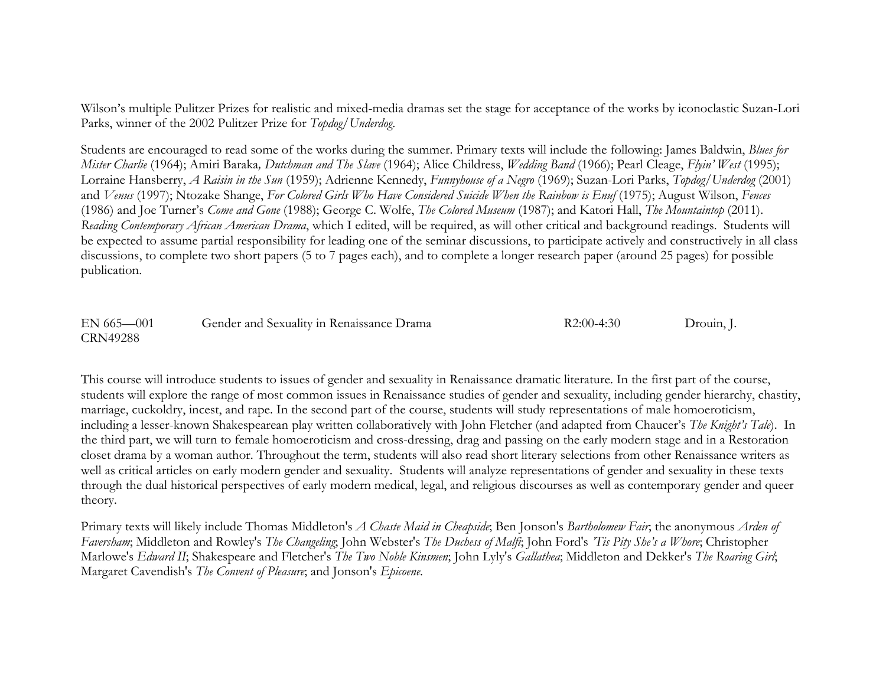Wilson's multiple Pulitzer Prizes for realistic and mixed-media dramas set the stage for acceptance of the works by iconoclastic Suzan-Lori Parks, winner of the 2002 Pulitzer Prize for *Topdog/Underdog*.

Students are encouraged to read some of the works during the summer. Primary texts will include the following: James Baldwin, *Blues for Mister Charlie* (1964); Amiri Baraka*, Dutchman and The Slave* (1964); Alice Childress, *Wedding Band* (1966); Pearl Cleage, *Flyin' West* (1995); Lorraine Hansberry, *A Raisin in the Sun* (1959); Adrienne Kennedy, *Funnyhouse of a Negro* (1969); Suzan-Lori Parks, *Topdog/Underdog* (2001) and *Venus* (1997); Ntozake Shange, *For Colored Girls Who Have Considered Suicide When the Rainbow is Enuf* (1975); August Wilson, *Fences*  (1986) and Joe Turner's *Come and Gone* (1988); George C. Wolfe, *The Colored Museum* (1987); and Katori Hall, *The Mountaintop* (2011). *Reading Contemporary African American Drama*, which I edited, will be required, as will other critical and background readings. Students will be expected to assume partial responsibility for leading one of the seminar discussions, to participate actively and constructively in all class discussions, to complete two short papers (5 to 7 pages each), and to complete a longer research paper (around 25 pages) for possible publication.

EN 665—001 Gender and Sexuality in Renaissance Drama R2:00-4:30 Drouin, J. CRN49288

This course will introduce students to issues of gender and sexuality in Renaissance dramatic literature. In the first part of the course, students will explore the range of most common issues in Renaissance studies of gender and sexuality, including gender hierarchy, chastity, marriage, cuckoldry, incest, and rape. In the second part of the course, students will study representations of male homoeroticism, including a lesser-known Shakespearean play written collaboratively with John Fletcher (and adapted from Chaucer's *The Knight's Tale*). In the third part, we will turn to female homoeroticism and cross-dressing, drag and passing on the early modern stage and in a Restoration closet drama by a woman author. Throughout the term, students will also read short literary selections from other Renaissance writers as well as critical articles on early modern gender and sexuality. Students will analyze representations of gender and sexuality in these texts through the dual historical perspectives of early modern medical, legal, and religious discourses as well as contemporary gender and queer theory.

Primary texts will likely include Thomas Middleton's *A Chaste Maid in Cheapside*; Ben Jonson's *Bartholomew Fair*; the anonymous *Arden of Faversham*; Middleton and Rowley's *The Changeling*; John Webster's *The Duchess of Malfi*; John Ford's *'Tis Pity She's a Whore*; Christopher Marlowe's *Edward II*; Shakespeare and Fletcher's *The Two Noble Kinsmen*; John Lyly's *Gallathea*; Middleton and Dekker's *The Roaring Girl*; Margaret Cavendish's *The Convent of Pleasure*; and Jonson's *Epicoene*.